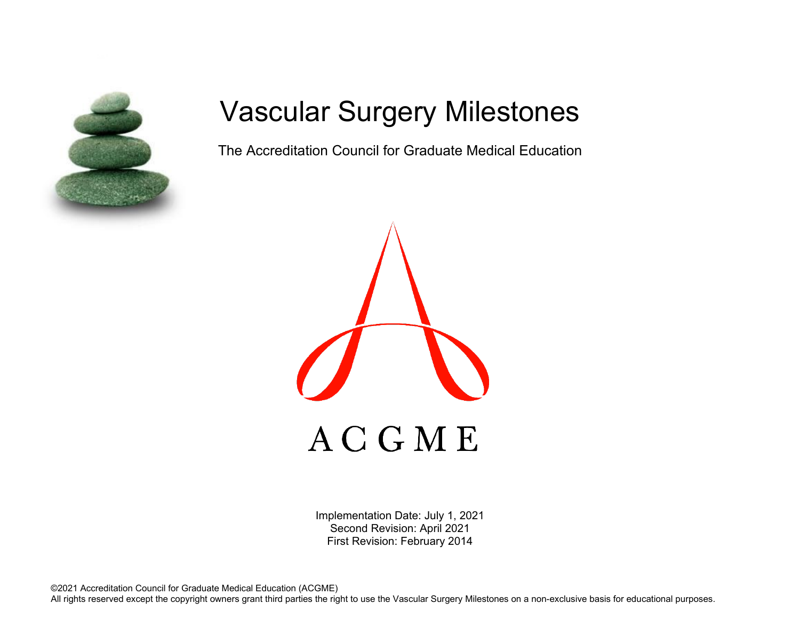

# Vascular Surgery Milestones

The Accreditation Council for Graduate Medical Education



Implementation Date: July 1, 2021 Second Revision: April 2021 First Revision: February 2014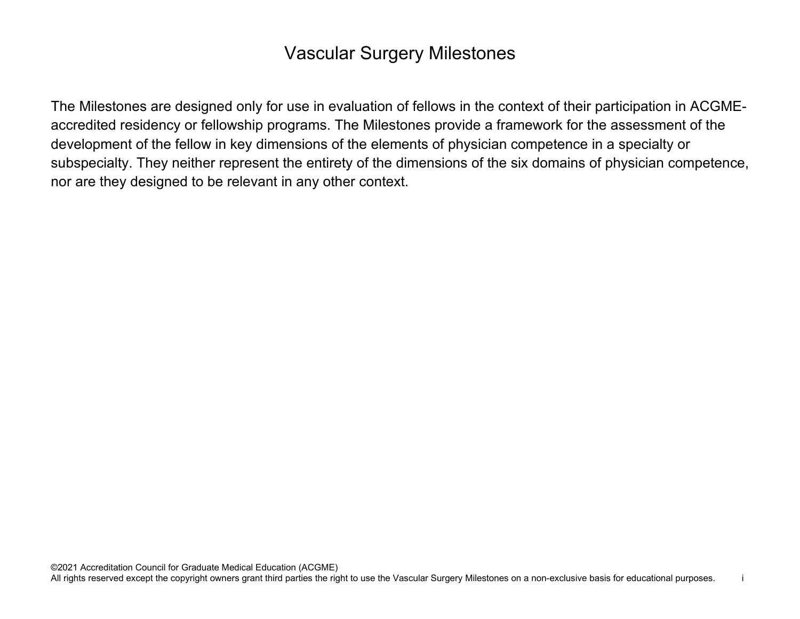## Vascular Surgery Milestones

The Milestones are designed only for use in evaluation of fellows in the context of their participation in ACGMEaccredited residency or fellowship programs. The Milestones provide a framework for the assessment of the development of the fellow in key dimensions of the elements of physician competence in a specialty or subspecialty. They neither represent the entirety of the dimensions of the six domains of physician competence, nor are they designed to be relevant in any other context.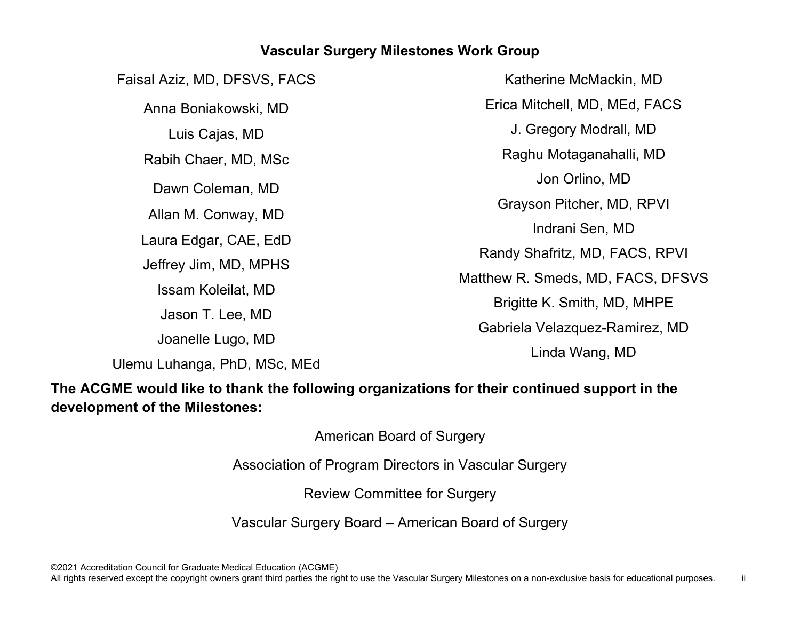#### **Vascular Surgery Milestones Work Group**

Faisal Aziz, MD, DFSVS, FACS Anna Boniakowski, MD Luis Cajas, MD Rabih Chaer, MD, MSc Dawn Coleman, MD Allan M. Conway, MD Laura Edgar, CAE, EdD Jeffrey Jim, MD, MPHS Issam Koleilat, MD Jason T. Lee, MD Joanelle Lugo, MD

Katherine McMackin, MD Erica Mitchell, MD, MEd, FACS J. Gregory Modrall, MD Raghu Motaganahalli, MD Jon Orlino, MD Grayson Pitcher, MD, RPVI Indrani Sen, MD Randy Shafritz, MD, FACS, RPVI Matthew R. Smeds, MD, FACS, DFSVS Brigitte K. Smith, MD, MHPE Gabriela Velazquez-Ramirez, MD Linda Wang, MD

Ulemu Luhanga, PhD, MSc, MEd

**The ACGME would like to thank the following organizations for their continued support in the development of the Milestones:**

American Board of Surgery

Association of Program Directors in Vascular Surgery

Review Committee for Surgery

Vascular Surgery Board – American Board of Surgery

©2021 Accreditation Council for Graduate Medical Education (ACGME)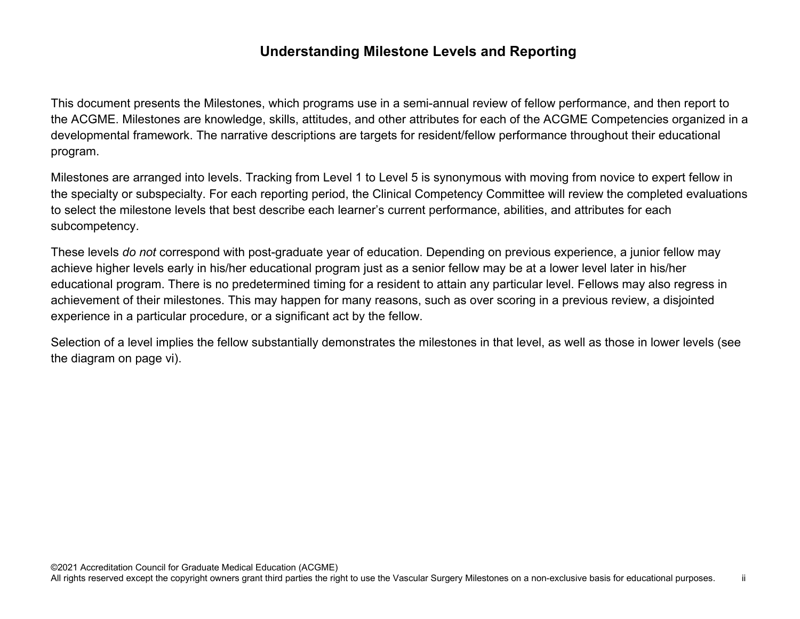### **Understanding Milestone Levels and Reporting**

This document presents the Milestones, which programs use in a semi-annual review of fellow performance, and then report to the ACGME. Milestones are knowledge, skills, attitudes, and other attributes for each of the ACGME Competencies organized in a developmental framework. The narrative descriptions are targets for resident/fellow performance throughout their educational program.

Milestones are arranged into levels. Tracking from Level 1 to Level 5 is synonymous with moving from novice to expert fellow in the specialty or subspecialty. For each reporting period, the Clinical Competency Committee will review the completed evaluations to select the milestone levels that best describe each learner's current performance, abilities, and attributes for each subcompetency.

These levels *do not* correspond with post-graduate year of education. Depending on previous experience, a junior fellow may achieve higher levels early in his/her educational program just as a senior fellow may be at a lower level later in his/her educational program. There is no predetermined timing for a resident to attain any particular level. Fellows may also regress in achievement of their milestones. This may happen for many reasons, such as over scoring in a previous review, a disjointed experience in a particular procedure, or a significant act by the fellow.

Selection of a level implies the fellow substantially demonstrates the milestones in that level, as well as those in lower levels (see the diagram on page vi).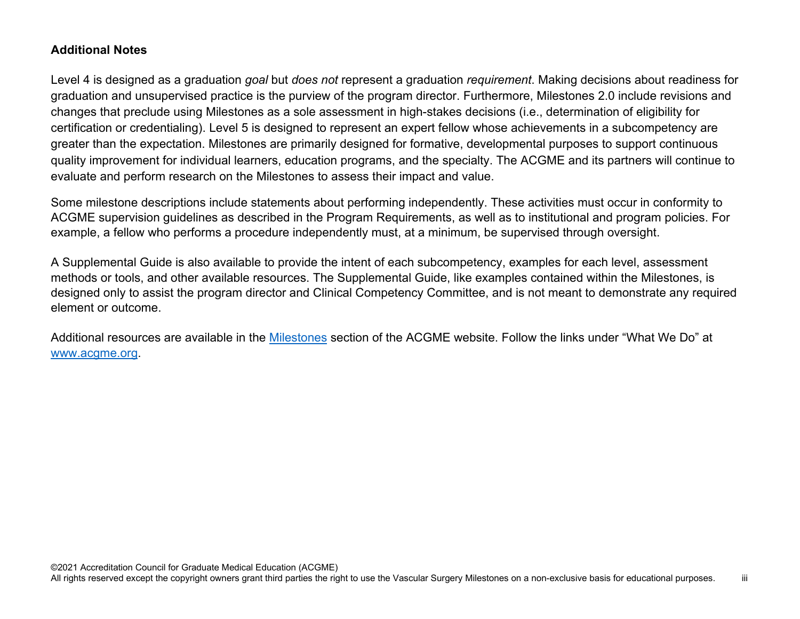#### **Additional Notes**

Level 4 is designed as a graduation *goal* but *does not* represent a graduation *requirement*. Making decisions about readiness for graduation and unsupervised practice is the purview of the program director. Furthermore, Milestones 2.0 include revisions and changes that preclude using Milestones as a sole assessment in high-stakes decisions (i.e., determination of eligibility for certification or credentialing). Level 5 is designed to represent an expert fellow whose achievements in a subcompetency are greater than the expectation. Milestones are primarily designed for formative, developmental purposes to support continuous quality improvement for individual learners, education programs, and the specialty. The ACGME and its partners will continue to evaluate and perform research on the Milestones to assess their impact and value.

Some milestone descriptions include statements about performing independently. These activities must occur in conformity to ACGME supervision guidelines as described in the Program Requirements, as well as to institutional and program policies. For example, a fellow who performs a procedure independently must, at a minimum, be supervised through oversight.

A Supplemental Guide is also available to provide the intent of each subcompetency, examples for each level, assessment methods or tools, and other available resources. The Supplemental Guide, like examples contained within the Milestones, is designed only to assist the program director and Clinical Competency Committee, and is not meant to demonstrate any required element or outcome.

Additional resources are available in the [Milestones](http://www.acgme.org/What-We-Do/Accreditation/Milestones/Overview) section of the ACGME website. Follow the links under "What We Do" at [www.acgme.org.](http://www.acgme.org/)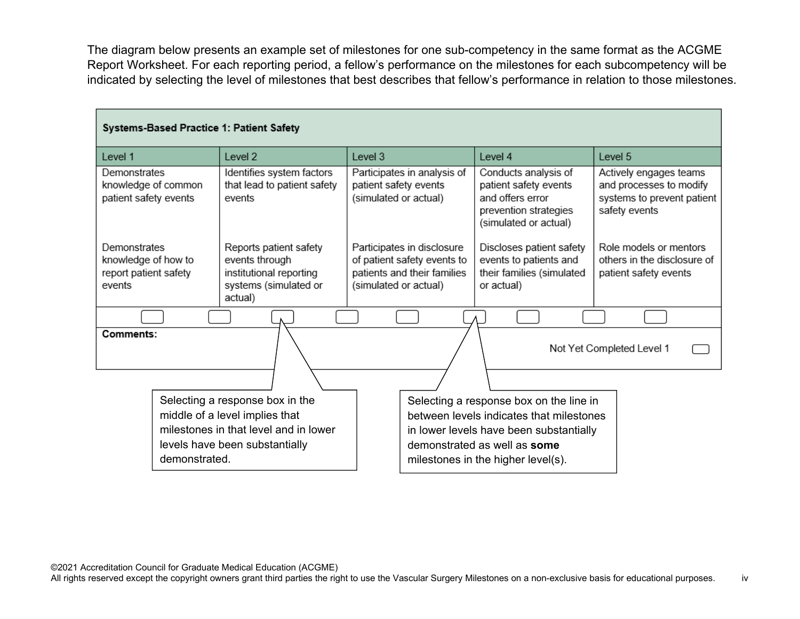The diagram below presents an example set of milestones for one sub-competency in the same format as the ACGME Report Worksheet. For each reporting period, a fellow's performance on the milestones for each subcompetency will be indicated by selecting the level of milestones that best describes that fellow's performance in relation to those milestones.

| Systems-Based Practice 1: Patient Safety                               |                                       |                                                                                                         |                                                                                     |                                                                                          |                                                                                                                     |                                                                                                  |
|------------------------------------------------------------------------|---------------------------------------|---------------------------------------------------------------------------------------------------------|-------------------------------------------------------------------------------------|------------------------------------------------------------------------------------------|---------------------------------------------------------------------------------------------------------------------|--------------------------------------------------------------------------------------------------|
| Level 1                                                                |                                       | Level 2                                                                                                 | Level 3                                                                             |                                                                                          | Level 4                                                                                                             | Level 5                                                                                          |
| Demonstrates<br>patient safety events                                  | knowledge of common                   | Identifies system factors<br>that lead to patient safety<br>events                                      | patient safety events<br>(simulated or actual)                                      | Participates in analysis of                                                              | Conducts analysis of<br>patient safety events<br>and offers error<br>prevention strategies<br>(simulated or actual) | Actively engages teams<br>and processes to modify<br>systems to prevent patient<br>safety events |
| Demonstrates<br>knowledge of how to<br>report patient safety<br>events |                                       | Reports patient safety<br>events through<br>institutional reporting<br>systems (simulated or<br>actual) | (simulated or actual)                                                               | Participates in disclosure<br>of patient safety events to<br>patients and their families | Discloses patient safety<br>events to patients and<br>their families (simulated<br>or actual)                       | Role models or mentors<br>others in the disclosure of<br>patient safety events                   |
|                                                                        |                                       |                                                                                                         |                                                                                     |                                                                                          |                                                                                                                     |                                                                                                  |
| Comments:                                                              |                                       |                                                                                                         |                                                                                     |                                                                                          |                                                                                                                     | Not Yet Completed Level 1                                                                        |
|                                                                        |                                       | Selecting a response box in the                                                                         |                                                                                     |                                                                                          |                                                                                                                     |                                                                                                  |
| middle of a level implies that                                         |                                       |                                                                                                         | Selecting a response box on the line in<br>between levels indicates that milestones |                                                                                          |                                                                                                                     |                                                                                                  |
|                                                                        | milestones in that level and in lower |                                                                                                         |                                                                                     | in lower levels have been substantially                                                  |                                                                                                                     |                                                                                                  |
| levels have been substantially<br>demonstrated.                        |                                       |                                                                                                         |                                                                                     | demonstrated as well as some<br>milestones in the higher level(s).                       |                                                                                                                     |                                                                                                  |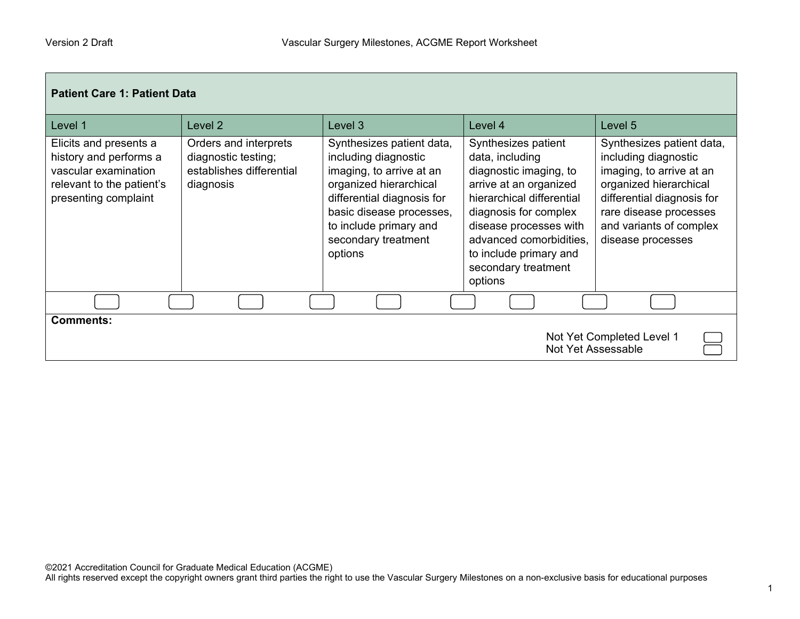Г

| <b>Patient Care 1: Patient Data</b>                                                                                           |                                                                                       |                                                                                                                                                                                                                               |                                                                                                                                                                                                                                                                   |                                                                                                                                                                                                                 |  |
|-------------------------------------------------------------------------------------------------------------------------------|---------------------------------------------------------------------------------------|-------------------------------------------------------------------------------------------------------------------------------------------------------------------------------------------------------------------------------|-------------------------------------------------------------------------------------------------------------------------------------------------------------------------------------------------------------------------------------------------------------------|-----------------------------------------------------------------------------------------------------------------------------------------------------------------------------------------------------------------|--|
| Level 1                                                                                                                       | Level 2                                                                               | Level <sub>3</sub>                                                                                                                                                                                                            | Level 4                                                                                                                                                                                                                                                           | Level 5                                                                                                                                                                                                         |  |
| Elicits and presents a<br>history and performs a<br>vascular examination<br>relevant to the patient's<br>presenting complaint | Orders and interprets<br>diagnostic testing;<br>establishes differential<br>diagnosis | Synthesizes patient data,<br>including diagnostic<br>imaging, to arrive at an<br>organized hierarchical<br>differential diagnosis for<br>basic disease processes,<br>to include primary and<br>secondary treatment<br>options | Synthesizes patient<br>data, including<br>diagnostic imaging, to<br>arrive at an organized<br>hierarchical differential<br>diagnosis for complex<br>disease processes with<br>advanced comorbidities,<br>to include primary and<br>secondary treatment<br>options | Synthesizes patient data,<br>including diagnostic<br>imaging, to arrive at an<br>organized hierarchical<br>differential diagnosis for<br>rare disease processes<br>and variants of complex<br>disease processes |  |
|                                                                                                                               |                                                                                       |                                                                                                                                                                                                                               |                                                                                                                                                                                                                                                                   |                                                                                                                                                                                                                 |  |
| <b>Comments:</b><br>Not Yet Completed Level 1<br>Not Yet Assessable                                                           |                                                                                       |                                                                                                                                                                                                                               |                                                                                                                                                                                                                                                                   |                                                                                                                                                                                                                 |  |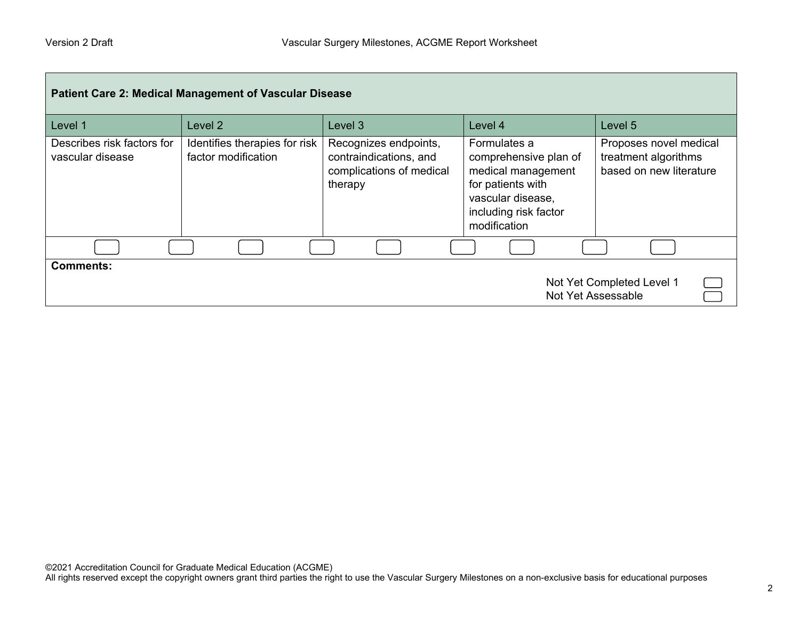| <b>Patient Care 2: Medical Management of Vascular Disease</b>       |                                                      |                                                                                        |                                                                                                                                                |                                                                           |  |
|---------------------------------------------------------------------|------------------------------------------------------|----------------------------------------------------------------------------------------|------------------------------------------------------------------------------------------------------------------------------------------------|---------------------------------------------------------------------------|--|
| Level 1                                                             | Level <sub>2</sub>                                   | Level <sub>3</sub>                                                                     | Level 4                                                                                                                                        | Level 5                                                                   |  |
| Describes risk factors for<br>vascular disease                      | Identifies therapies for risk<br>factor modification | Recognizes endpoints,<br>contraindications, and<br>complications of medical<br>therapy | Formulates a<br>comprehensive plan of<br>medical management<br>for patients with<br>vascular disease,<br>including risk factor<br>modification | Proposes novel medical<br>treatment algorithms<br>based on new literature |  |
|                                                                     |                                                      |                                                                                        |                                                                                                                                                |                                                                           |  |
| <b>Comments:</b><br>Not Yet Completed Level 1<br>Not Yet Assessable |                                                      |                                                                                        |                                                                                                                                                |                                                                           |  |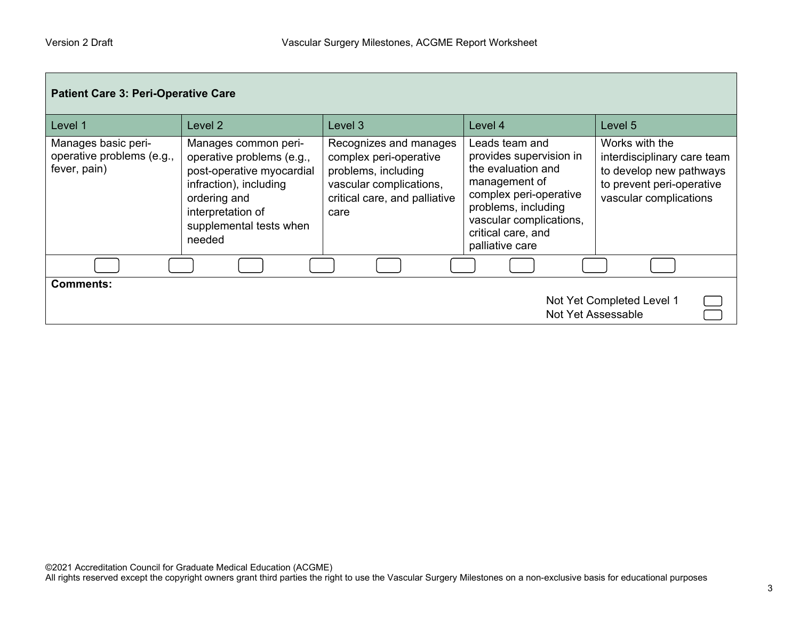| <b>Patient Care 3: Peri-Operative Care</b>                          |                                                                                                                                                                                    |                                                                                                                                             |                                                                                                                                                                                                       |                                                                                                                                 |  |
|---------------------------------------------------------------------|------------------------------------------------------------------------------------------------------------------------------------------------------------------------------------|---------------------------------------------------------------------------------------------------------------------------------------------|-------------------------------------------------------------------------------------------------------------------------------------------------------------------------------------------------------|---------------------------------------------------------------------------------------------------------------------------------|--|
| Level 1                                                             | Level <sub>2</sub>                                                                                                                                                                 | Level 3                                                                                                                                     | Level 4                                                                                                                                                                                               | Level 5                                                                                                                         |  |
| Manages basic peri-<br>operative problems (e.g.,<br>fever, pain)    | Manages common peri-<br>operative problems (e.g.,<br>post-operative myocardial<br>infraction), including<br>ordering and<br>interpretation of<br>supplemental tests when<br>needed | Recognizes and manages<br>complex peri-operative<br>problems, including<br>vascular complications,<br>critical care, and palliative<br>care | Leads team and<br>provides supervision in<br>the evaluation and<br>management of<br>complex peri-operative<br>problems, including<br>vascular complications,<br>critical care, and<br>palliative care | Works with the<br>interdisciplinary care team<br>to develop new pathways<br>to prevent peri-operative<br>vascular complications |  |
|                                                                     |                                                                                                                                                                                    |                                                                                                                                             |                                                                                                                                                                                                       |                                                                                                                                 |  |
| <b>Comments:</b><br>Not Yet Completed Level 1<br>Not Yet Assessable |                                                                                                                                                                                    |                                                                                                                                             |                                                                                                                                                                                                       |                                                                                                                                 |  |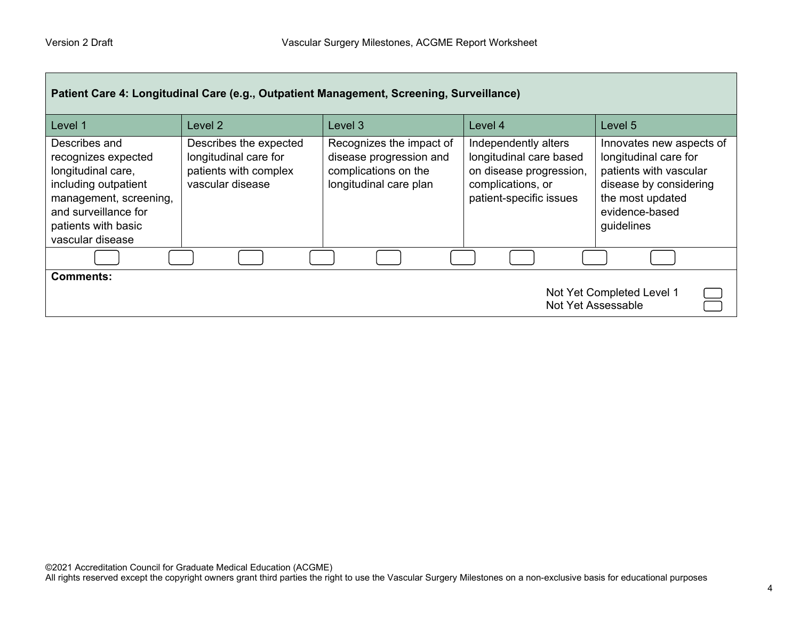| Patient Care 4: Longitudinal Care (e.g., Outpatient Management, Screening, Surveillance)                                                                                        |                                                                                              |                                                                                                       |                                                                                                                            |                                                                                                                                                           |  |
|---------------------------------------------------------------------------------------------------------------------------------------------------------------------------------|----------------------------------------------------------------------------------------------|-------------------------------------------------------------------------------------------------------|----------------------------------------------------------------------------------------------------------------------------|-----------------------------------------------------------------------------------------------------------------------------------------------------------|--|
| Level 1                                                                                                                                                                         | Level 2                                                                                      | Level 3                                                                                               | Level 4                                                                                                                    | Level 5                                                                                                                                                   |  |
| Describes and<br>recognizes expected<br>longitudinal care,<br>including outpatient<br>management, screening,<br>and surveillance for<br>patients with basic<br>vascular disease | Describes the expected<br>longitudinal care for<br>patients with complex<br>vascular disease | Recognizes the impact of<br>disease progression and<br>complications on the<br>longitudinal care plan | Independently alters<br>longitudinal care based<br>on disease progression,<br>complications, or<br>patient-specific issues | Innovates new aspects of<br>longitudinal care for<br>patients with vascular<br>disease by considering<br>the most updated<br>evidence-based<br>guidelines |  |
|                                                                                                                                                                                 |                                                                                              |                                                                                                       |                                                                                                                            |                                                                                                                                                           |  |
| <b>Comments:</b><br>Not Yet Completed Level 1<br>Not Yet Assessable                                                                                                             |                                                                                              |                                                                                                       |                                                                                                                            |                                                                                                                                                           |  |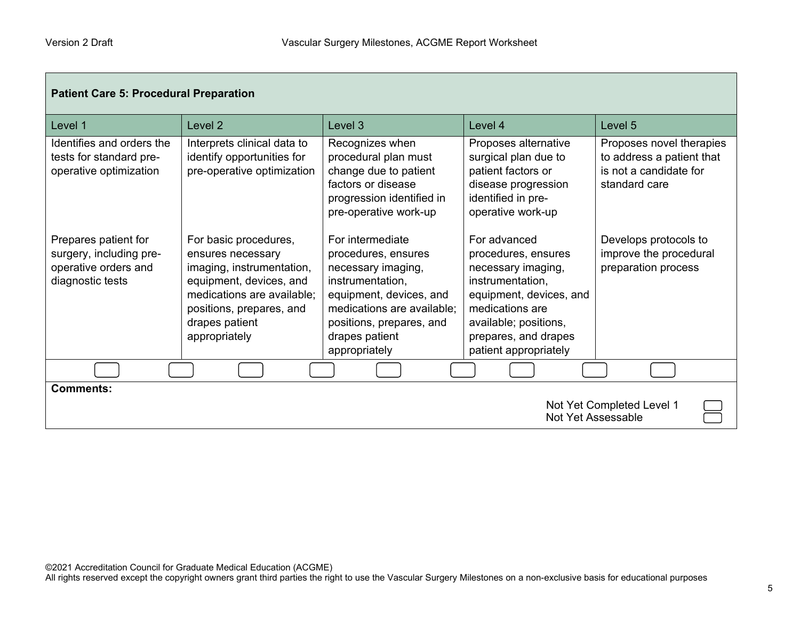Г

| <b>Patient Care 5: Procedural Preparation</b>                                               |                                                                                                                                                                                                 |                                                                                                                                                                                                           |                                                                                                                                                                                                       |                                                                                                  |  |
|---------------------------------------------------------------------------------------------|-------------------------------------------------------------------------------------------------------------------------------------------------------------------------------------------------|-----------------------------------------------------------------------------------------------------------------------------------------------------------------------------------------------------------|-------------------------------------------------------------------------------------------------------------------------------------------------------------------------------------------------------|--------------------------------------------------------------------------------------------------|--|
| Level 1                                                                                     | Level 2                                                                                                                                                                                         | Level 3                                                                                                                                                                                                   | Level 4                                                                                                                                                                                               | Level 5                                                                                          |  |
| Identifies and orders the<br>tests for standard pre-<br>operative optimization              | Interprets clinical data to<br>identify opportunities for<br>pre-operative optimization                                                                                                         | Recognizes when<br>procedural plan must<br>change due to patient<br>factors or disease<br>progression identified in<br>pre-operative work-up                                                              | Proposes alternative<br>surgical plan due to<br>patient factors or<br>disease progression<br>identified in pre-<br>operative work-up                                                                  | Proposes novel therapies<br>to address a patient that<br>is not a candidate for<br>standard care |  |
| Prepares patient for<br>surgery, including pre-<br>operative orders and<br>diagnostic tests | For basic procedures,<br>ensures necessary<br>imaging, instrumentation,<br>equipment, devices, and<br>medications are available;<br>positions, prepares, and<br>drapes patient<br>appropriately | For intermediate<br>procedures, ensures<br>necessary imaging,<br>instrumentation,<br>equipment, devices, and<br>medications are available;<br>positions, prepares, and<br>drapes patient<br>appropriately | For advanced<br>procedures, ensures<br>necessary imaging,<br>instrumentation,<br>equipment, devices, and<br>medications are<br>available; positions,<br>prepares, and drapes<br>patient appropriately | Develops protocols to<br>improve the procedural<br>preparation process                           |  |
|                                                                                             |                                                                                                                                                                                                 |                                                                                                                                                                                                           |                                                                                                                                                                                                       |                                                                                                  |  |
| <b>Comments:</b><br>Not Yet Completed Level 1<br>Not Yet Assessable                         |                                                                                                                                                                                                 |                                                                                                                                                                                                           |                                                                                                                                                                                                       |                                                                                                  |  |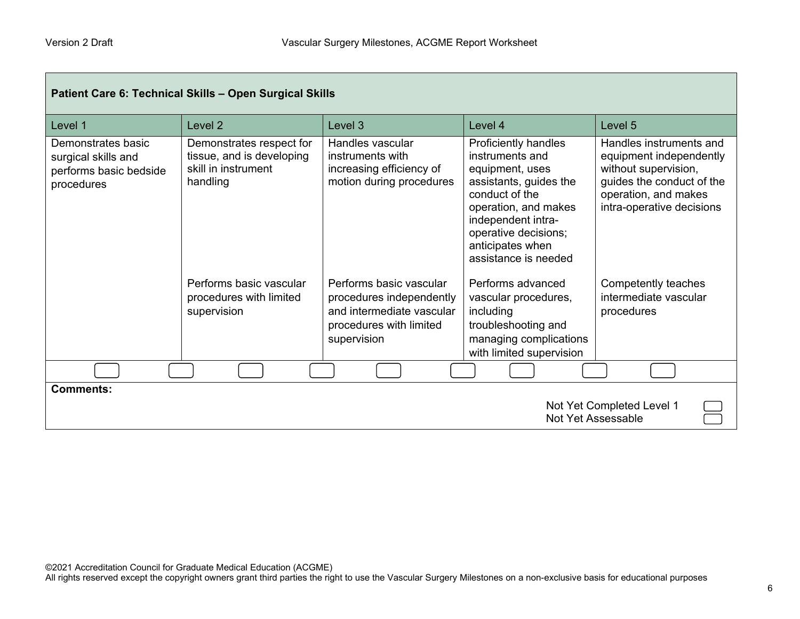Г

| Patient Care 6: Technical Skills - Open Surgical Skills                           |                                                                                          |                                                                                                                            |                                                                                                                                                                                                                          |                                                                                                                                                              |  |
|-----------------------------------------------------------------------------------|------------------------------------------------------------------------------------------|----------------------------------------------------------------------------------------------------------------------------|--------------------------------------------------------------------------------------------------------------------------------------------------------------------------------------------------------------------------|--------------------------------------------------------------------------------------------------------------------------------------------------------------|--|
| Level 1                                                                           | Level <sub>2</sub>                                                                       | Level 3                                                                                                                    | Level 4                                                                                                                                                                                                                  | Level 5                                                                                                                                                      |  |
| Demonstrates basic<br>surgical skills and<br>performs basic bedside<br>procedures | Demonstrates respect for<br>tissue, and is developing<br>skill in instrument<br>handling | Handles vascular<br>instruments with<br>increasing efficiency of<br>motion during procedures                               | Proficiently handles<br>instruments and<br>equipment, uses<br>assistants, guides the<br>conduct of the<br>operation, and makes<br>independent intra-<br>operative decisions;<br>anticipates when<br>assistance is needed | Handles instruments and<br>equipment independently<br>without supervision,<br>guides the conduct of the<br>operation, and makes<br>intra-operative decisions |  |
|                                                                                   | Performs basic vascular<br>procedures with limited<br>supervision                        | Performs basic vascular<br>procedures independently<br>and intermediate vascular<br>procedures with limited<br>supervision | Performs advanced<br>vascular procedures,<br>including<br>troubleshooting and<br>managing complications<br>with limited supervision                                                                                      | Competently teaches<br>intermediate vascular<br>procedures                                                                                                   |  |
|                                                                                   |                                                                                          |                                                                                                                            |                                                                                                                                                                                                                          |                                                                                                                                                              |  |
| <b>Comments:</b>                                                                  |                                                                                          |                                                                                                                            |                                                                                                                                                                                                                          | Not Yet Completed Level 1<br>Not Yet Assessable                                                                                                              |  |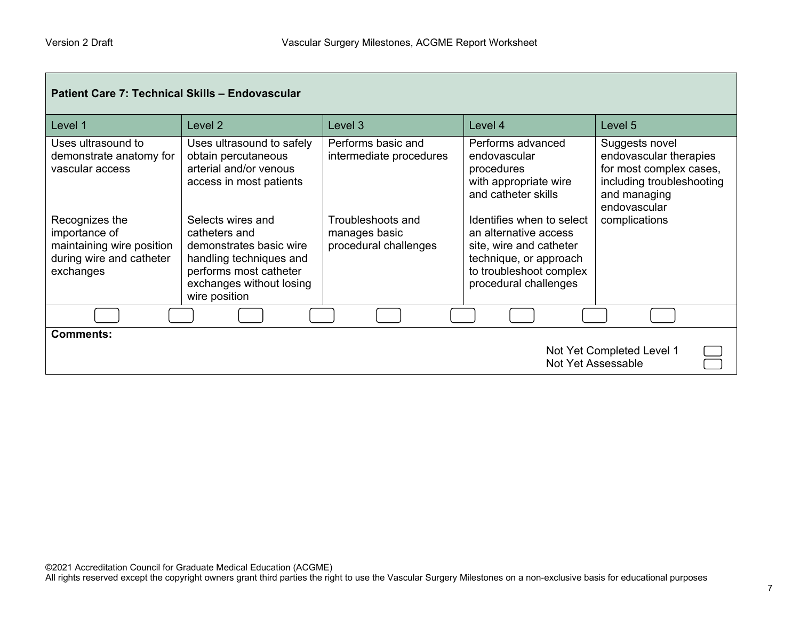| Patient Care 7: Technical Skills - Endovascular                                                       |                                                                                                                                                                 |                                                             |                                                                                                                                                             |                                                                                                                                  |  |
|-------------------------------------------------------------------------------------------------------|-----------------------------------------------------------------------------------------------------------------------------------------------------------------|-------------------------------------------------------------|-------------------------------------------------------------------------------------------------------------------------------------------------------------|----------------------------------------------------------------------------------------------------------------------------------|--|
| Level 1                                                                                               | Level 2                                                                                                                                                         | Level 3                                                     | Level 4                                                                                                                                                     | Level 5                                                                                                                          |  |
| Uses ultrasound to<br>demonstrate anatomy for<br>vascular access                                      | Uses ultrasound to safely<br>obtain percutaneous<br>arterial and/or venous<br>access in most patients                                                           | Performs basic and<br>intermediate procedures               | Performs advanced<br>endovascular<br>procedures<br>with appropriate wire<br>and catheter skills                                                             | Suggests novel<br>endovascular therapies<br>for most complex cases,<br>including troubleshooting<br>and managing<br>endovascular |  |
| Recognizes the<br>importance of<br>maintaining wire position<br>during wire and catheter<br>exchanges | Selects wires and<br>catheters and<br>demonstrates basic wire<br>handling techniques and<br>performs most catheter<br>exchanges without losing<br>wire position | Troubleshoots and<br>manages basic<br>procedural challenges | Identifies when to select<br>an alternative access<br>site, wire and catheter<br>technique, or approach<br>to troubleshoot complex<br>procedural challenges | complications                                                                                                                    |  |
|                                                                                                       |                                                                                                                                                                 |                                                             |                                                                                                                                                             |                                                                                                                                  |  |
| <b>Comments:</b><br>Not Yet Completed Level 1<br>Not Yet Assessable                                   |                                                                                                                                                                 |                                                             |                                                                                                                                                             |                                                                                                                                  |  |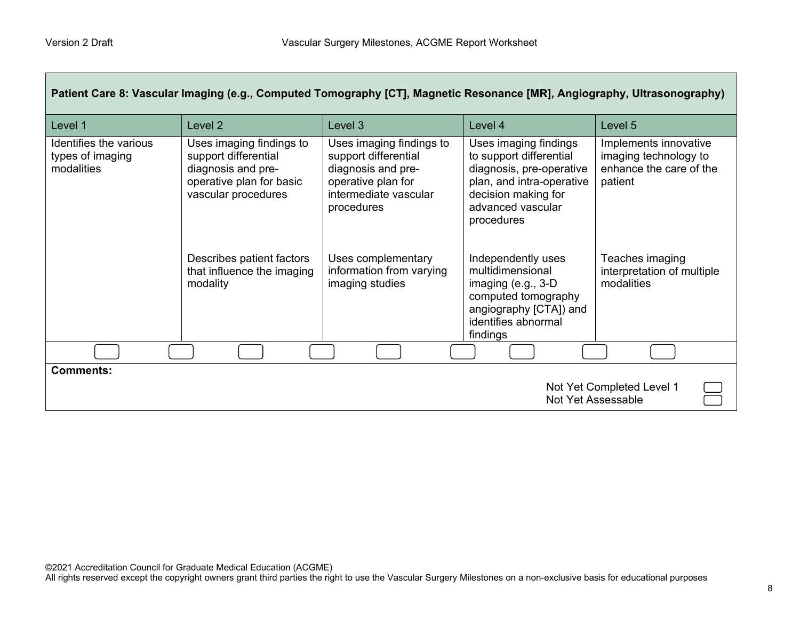| Patient Care 8: Vascular Imaging (e.g., Computed Tomography [CT], Magnetic Resonance [MR], Angiography, Ultrasonography) |                                                                                                                           |                                                                                                                                     |                                                                                                                                                                     |                                                                                      |
|--------------------------------------------------------------------------------------------------------------------------|---------------------------------------------------------------------------------------------------------------------------|-------------------------------------------------------------------------------------------------------------------------------------|---------------------------------------------------------------------------------------------------------------------------------------------------------------------|--------------------------------------------------------------------------------------|
| Level 1                                                                                                                  | Level <sub>2</sub>                                                                                                        | Level 3                                                                                                                             | Level 4                                                                                                                                                             | Level 5                                                                              |
| Identifies the various<br>types of imaging<br>modalities                                                                 | Uses imaging findings to<br>support differential<br>diagnosis and pre-<br>operative plan for basic<br>vascular procedures | Uses imaging findings to<br>support differential<br>diagnosis and pre-<br>operative plan for<br>intermediate vascular<br>procedures | Uses imaging findings<br>to support differential<br>diagnosis, pre-operative<br>plan, and intra-operative<br>decision making for<br>advanced vascular<br>procedures | Implements innovative<br>imaging technology to<br>enhance the care of the<br>patient |
|                                                                                                                          | Describes patient factors<br>that influence the imaging<br>modality                                                       | Uses complementary<br>information from varying<br>imaging studies                                                                   | Independently uses<br>multidimensional<br>imaging $(e.g., 3-D)$<br>computed tomography<br>angiography [CTA]) and<br>identifies abnormal<br>findings                 | Teaches imaging<br>interpretation of multiple<br>modalities                          |
|                                                                                                                          |                                                                                                                           |                                                                                                                                     |                                                                                                                                                                     |                                                                                      |
| <b>Comments:</b><br>Not Yet Completed Level 1<br>Not Yet Assessable                                                      |                                                                                                                           |                                                                                                                                     |                                                                                                                                                                     |                                                                                      |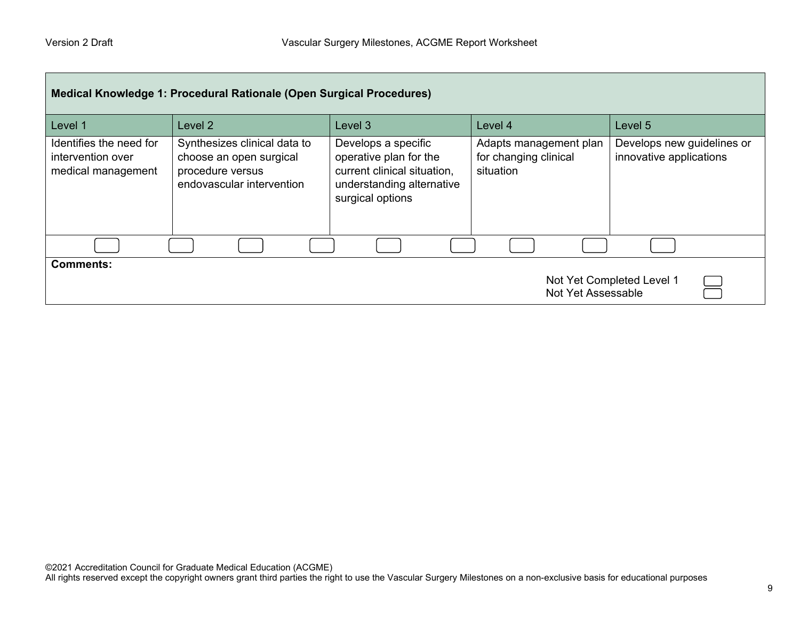| Medical Knowledge 1: Procedural Rationale (Open Surgical Procedures) |                                                                                                          |                                                                                                                               |                                                              |                                                       |  |
|----------------------------------------------------------------------|----------------------------------------------------------------------------------------------------------|-------------------------------------------------------------------------------------------------------------------------------|--------------------------------------------------------------|-------------------------------------------------------|--|
| Level 1                                                              | Level <sub>2</sub>                                                                                       | Level <sub>3</sub>                                                                                                            | Level 4                                                      | Level 5                                               |  |
| Identifies the need for<br>intervention over<br>medical management   | Synthesizes clinical data to<br>choose an open surgical<br>procedure versus<br>endovascular intervention | Develops a specific<br>operative plan for the<br>current clinical situation,<br>understanding alternative<br>surgical options | Adapts management plan<br>for changing clinical<br>situation | Develops new guidelines or<br>innovative applications |  |
|                                                                      |                                                                                                          |                                                                                                                               |                                                              |                                                       |  |
| <b>Comments:</b><br>Not Yet Completed Level 1<br>Not Yet Assessable  |                                                                                                          |                                                                                                                               |                                                              |                                                       |  |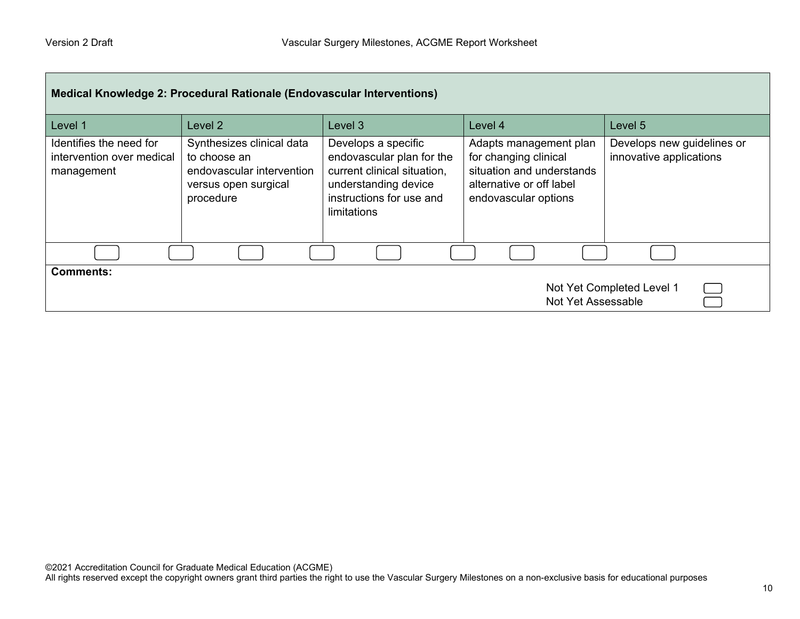| Medical Knowledge 2: Procedural Rationale (Endovascular Interventions) |                                                                                                             |                                                                                                                                                    |                                                                                                                                  |                                                       |  |
|------------------------------------------------------------------------|-------------------------------------------------------------------------------------------------------------|----------------------------------------------------------------------------------------------------------------------------------------------------|----------------------------------------------------------------------------------------------------------------------------------|-------------------------------------------------------|--|
| Level 1                                                                | Level 2                                                                                                     | Level 3                                                                                                                                            | Level 4                                                                                                                          | Level 5                                               |  |
| Identifies the need for<br>intervention over medical<br>management     | Synthesizes clinical data<br>to choose an<br>endovascular intervention<br>versus open surgical<br>procedure | Develops a specific<br>endovascular plan for the<br>current clinical situation,<br>understanding device<br>instructions for use and<br>limitations | Adapts management plan<br>for changing clinical<br>situation and understands<br>alternative or off label<br>endovascular options | Develops new guidelines or<br>innovative applications |  |
|                                                                        |                                                                                                             |                                                                                                                                                    |                                                                                                                                  |                                                       |  |
| <b>Comments:</b><br>Not Yet Completed Level 1<br>Not Yet Assessable    |                                                                                                             |                                                                                                                                                    |                                                                                                                                  |                                                       |  |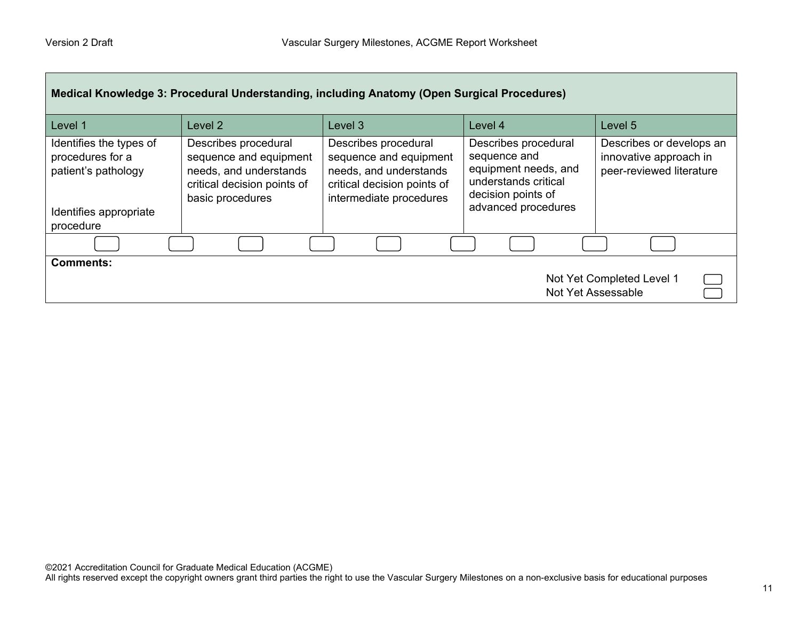| Medical Knowledge 3: Procedural Understanding, including Anatomy (Open Surgical Procedures)               |                                                                                                                             |                                                                                                                                    |                                                                                                                                   |                                                                                |  |
|-----------------------------------------------------------------------------------------------------------|-----------------------------------------------------------------------------------------------------------------------------|------------------------------------------------------------------------------------------------------------------------------------|-----------------------------------------------------------------------------------------------------------------------------------|--------------------------------------------------------------------------------|--|
| Level 1                                                                                                   | Level 2                                                                                                                     | Level 3                                                                                                                            | Level 4                                                                                                                           | Level 5                                                                        |  |
| Identifies the types of<br>procedures for a<br>patient's pathology<br>Identifies appropriate<br>procedure | Describes procedural<br>sequence and equipment<br>needs, and understands<br>critical decision points of<br>basic procedures | Describes procedural<br>sequence and equipment<br>needs, and understands<br>critical decision points of<br>intermediate procedures | Describes procedural<br>sequence and<br>equipment needs, and<br>understands critical<br>decision points of<br>advanced procedures | Describes or develops an<br>innovative approach in<br>peer-reviewed literature |  |
|                                                                                                           |                                                                                                                             |                                                                                                                                    |                                                                                                                                   |                                                                                |  |
| <b>Comments:</b><br>Not Yet Completed Level 1<br>Not Yet Assessable                                       |                                                                                                                             |                                                                                                                                    |                                                                                                                                   |                                                                                |  |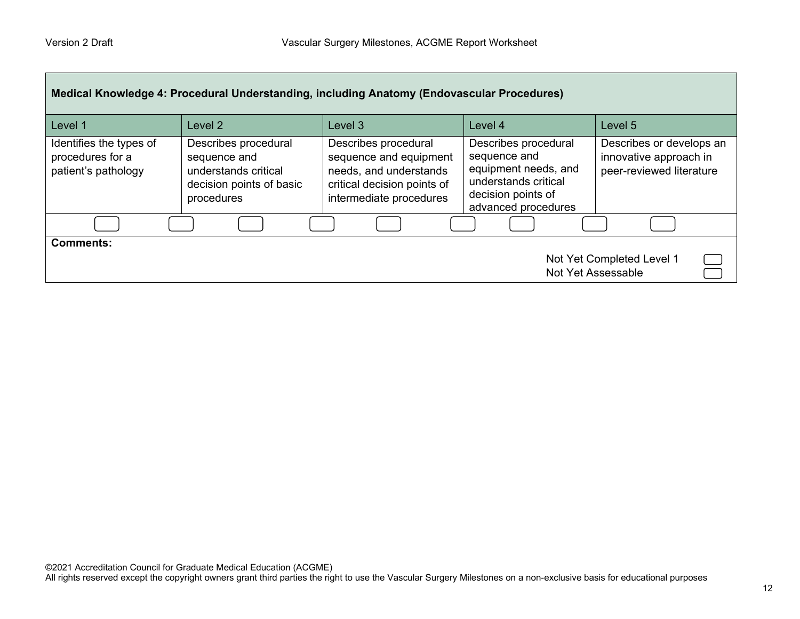| Medical Knowledge 4: Procedural Understanding, including Anatomy (Endovascular Procedures) |                                                                                                        |                                                                                                                                    |                                                                                                                                   |                                                                                |  |
|--------------------------------------------------------------------------------------------|--------------------------------------------------------------------------------------------------------|------------------------------------------------------------------------------------------------------------------------------------|-----------------------------------------------------------------------------------------------------------------------------------|--------------------------------------------------------------------------------|--|
| Level 1                                                                                    | Level <sub>2</sub>                                                                                     | Level <sub>3</sub>                                                                                                                 | Level 4                                                                                                                           | Level 5                                                                        |  |
| Identifies the types of<br>procedures for a<br>patient's pathology                         | Describes procedural<br>sequence and<br>understands critical<br>decision points of basic<br>procedures | Describes procedural<br>sequence and equipment<br>needs, and understands<br>critical decision points of<br>intermediate procedures | Describes procedural<br>sequence and<br>equipment needs, and<br>understands critical<br>decision points of<br>advanced procedures | Describes or develops an<br>innovative approach in<br>peer-reviewed literature |  |
|                                                                                            |                                                                                                        |                                                                                                                                    |                                                                                                                                   |                                                                                |  |
| <b>Comments:</b><br>Not Yet Completed Level 1<br>Not Yet Assessable                        |                                                                                                        |                                                                                                                                    |                                                                                                                                   |                                                                                |  |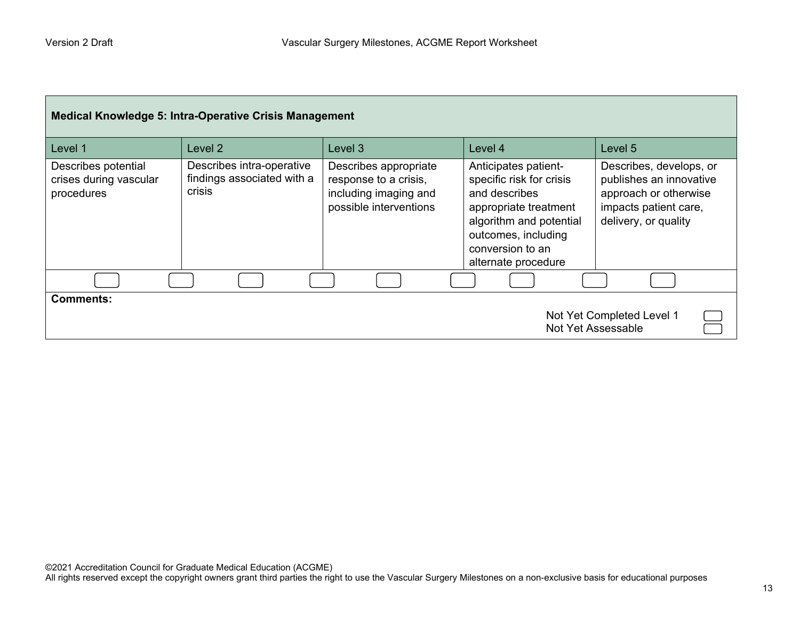| <b>Medical Knowledge 5: Intra-Operative Crisis Management</b>       |                                                                   |                                                                                                   |                                                                                                                                                                                         |                                                                                                                              |  |
|---------------------------------------------------------------------|-------------------------------------------------------------------|---------------------------------------------------------------------------------------------------|-----------------------------------------------------------------------------------------------------------------------------------------------------------------------------------------|------------------------------------------------------------------------------------------------------------------------------|--|
| Level 1                                                             | Level 2                                                           | Level 3                                                                                           | Level 4                                                                                                                                                                                 | Level 5                                                                                                                      |  |
| Describes potential<br>crises during vascular<br>procedures         | Describes intra-operative<br>findings associated with a<br>crisis | Describes appropriate<br>response to a crisis,<br>including imaging and<br>possible interventions | Anticipates patient-<br>specific risk for crisis<br>and describes<br>appropriate treatment<br>algorithm and potential<br>outcomes, including<br>conversion to an<br>alternate procedure | Describes, develops, or<br>publishes an innovative<br>approach or otherwise<br>impacts patient care,<br>delivery, or quality |  |
|                                                                     |                                                                   |                                                                                                   |                                                                                                                                                                                         |                                                                                                                              |  |
| <b>Comments:</b><br>Not Yet Completed Level 1<br>Not Yet Assessable |                                                                   |                                                                                                   |                                                                                                                                                                                         |                                                                                                                              |  |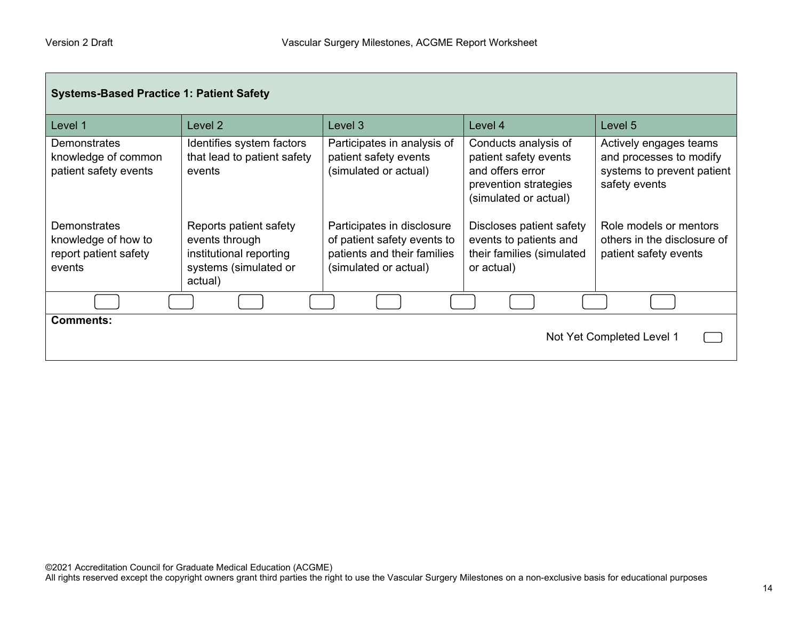г

| <b>Systems-Based Practice 1: Patient Safety</b>                               |                                                                                                         |                                                                                                                   |                                                                                                                     |                                                                                                  |
|-------------------------------------------------------------------------------|---------------------------------------------------------------------------------------------------------|-------------------------------------------------------------------------------------------------------------------|---------------------------------------------------------------------------------------------------------------------|--------------------------------------------------------------------------------------------------|
| Level 1                                                                       | Level 2                                                                                                 | Level <sub>3</sub>                                                                                                | Level 4                                                                                                             | Level 5                                                                                          |
| Demonstrates<br>knowledge of common<br>patient safety events                  | Identifies system factors<br>that lead to patient safety<br>events                                      | Participates in analysis of<br>patient safety events<br>(simulated or actual)                                     | Conducts analysis of<br>patient safety events<br>and offers error<br>prevention strategies<br>(simulated or actual) | Actively engages teams<br>and processes to modify<br>systems to prevent patient<br>safety events |
| <b>Demonstrates</b><br>knowledge of how to<br>report patient safety<br>events | Reports patient safety<br>events through<br>institutional reporting<br>systems (simulated or<br>actual) | Participates in disclosure<br>of patient safety events to<br>patients and their families<br>(simulated or actual) | Discloses patient safety<br>events to patients and<br>their families (simulated<br>or actual)                       | Role models or mentors<br>others in the disclosure of<br>patient safety events                   |
|                                                                               |                                                                                                         |                                                                                                                   |                                                                                                                     |                                                                                                  |
| <b>Comments:</b><br>Not Yet Completed Level 1                                 |                                                                                                         |                                                                                                                   |                                                                                                                     |                                                                                                  |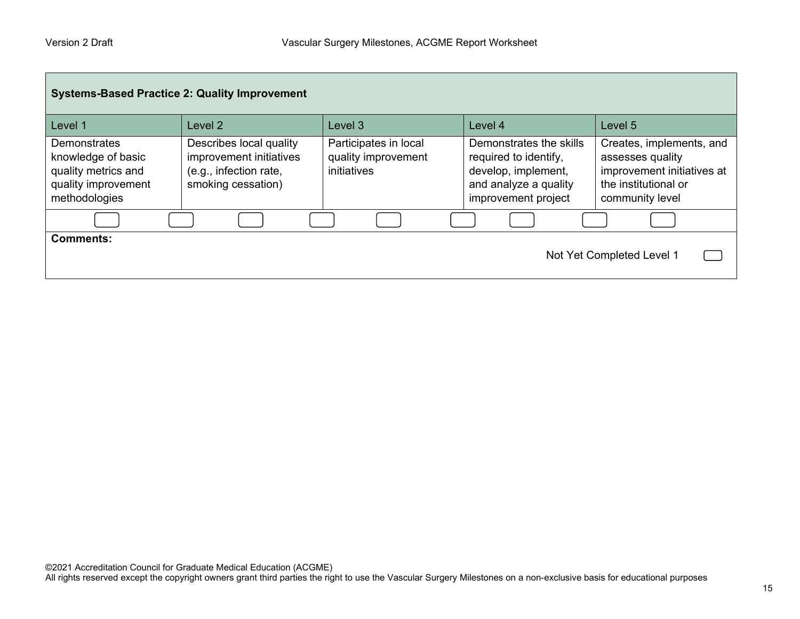| <b>Systems-Based Practice 2: Quality Improvement</b>                                              |                                                                                                    |                                                             |                                                                                                                         |                                                                                                                       |  |
|---------------------------------------------------------------------------------------------------|----------------------------------------------------------------------------------------------------|-------------------------------------------------------------|-------------------------------------------------------------------------------------------------------------------------|-----------------------------------------------------------------------------------------------------------------------|--|
| Level 1                                                                                           | Level 2                                                                                            | Level 3                                                     | Level 4                                                                                                                 | Level 5                                                                                                               |  |
| Demonstrates<br>knowledge of basic<br>quality metrics and<br>quality improvement<br>methodologies | Describes local quality<br>improvement initiatives<br>(e.g., infection rate,<br>smoking cessation) | Participates in local<br>quality improvement<br>initiatives | Demonstrates the skills<br>required to identify,<br>develop, implement,<br>and analyze a quality<br>improvement project | Creates, implements, and<br>assesses quality<br>improvement initiatives at<br>the institutional or<br>community level |  |
|                                                                                                   |                                                                                                    |                                                             |                                                                                                                         |                                                                                                                       |  |
| <b>Comments:</b><br>Not Yet Completed Level 1                                                     |                                                                                                    |                                                             |                                                                                                                         |                                                                                                                       |  |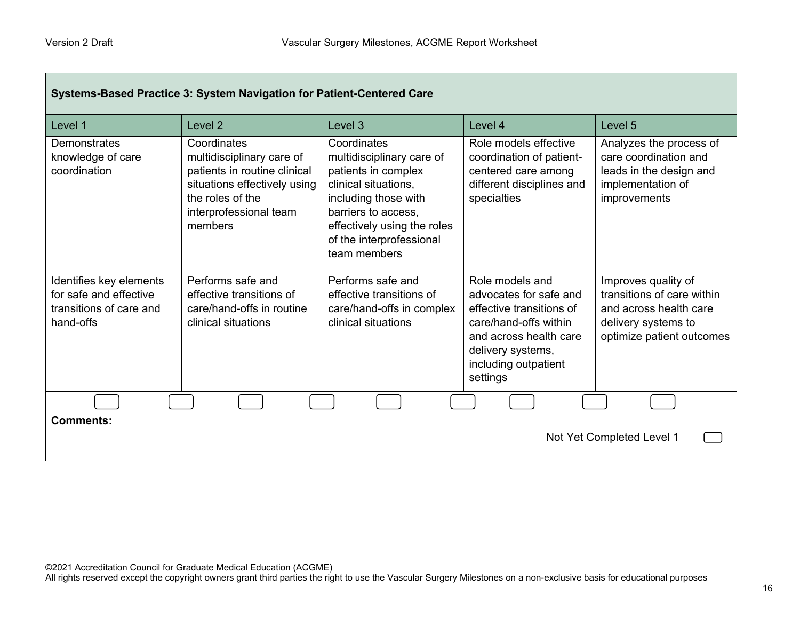| Systems-Based Practice 3: System Navigation for Patient-Centered Care                     |                                                                                                                                                                   |                                                                                                                                                                                                                   |                                                                                                                                                                                   |                                                                                                                                 |
|-------------------------------------------------------------------------------------------|-------------------------------------------------------------------------------------------------------------------------------------------------------------------|-------------------------------------------------------------------------------------------------------------------------------------------------------------------------------------------------------------------|-----------------------------------------------------------------------------------------------------------------------------------------------------------------------------------|---------------------------------------------------------------------------------------------------------------------------------|
| Level 1                                                                                   | Level <sub>2</sub>                                                                                                                                                | Level 3                                                                                                                                                                                                           | Level 4                                                                                                                                                                           | Level <sub>5</sub>                                                                                                              |
| Demonstrates<br>knowledge of care<br>coordination                                         | Coordinates<br>multidisciplinary care of<br>patients in routine clinical<br>situations effectively using<br>the roles of the<br>interprofessional team<br>members | Coordinates<br>multidisciplinary care of<br>patients in complex<br>clinical situations,<br>including those with<br>barriers to access,<br>effectively using the roles<br>of the interprofessional<br>team members | Role models effective<br>coordination of patient-<br>centered care among<br>different disciplines and<br>specialties                                                              | Analyzes the process of<br>care coordination and<br>leads in the design and<br>implementation of<br>improvements                |
| Identifies key elements<br>for safe and effective<br>transitions of care and<br>hand-offs | Performs safe and<br>effective transitions of<br>care/hand-offs in routine<br>clinical situations                                                                 | Performs safe and<br>effective transitions of<br>care/hand-offs in complex<br>clinical situations                                                                                                                 | Role models and<br>advocates for safe and<br>effective transitions of<br>care/hand-offs within<br>and across health care<br>delivery systems,<br>including outpatient<br>settings | Improves quality of<br>transitions of care within<br>and across health care<br>delivery systems to<br>optimize patient outcomes |
|                                                                                           |                                                                                                                                                                   |                                                                                                                                                                                                                   |                                                                                                                                                                                   |                                                                                                                                 |
| <b>Comments:</b><br>Not Yet Completed Level 1                                             |                                                                                                                                                                   |                                                                                                                                                                                                                   |                                                                                                                                                                                   |                                                                                                                                 |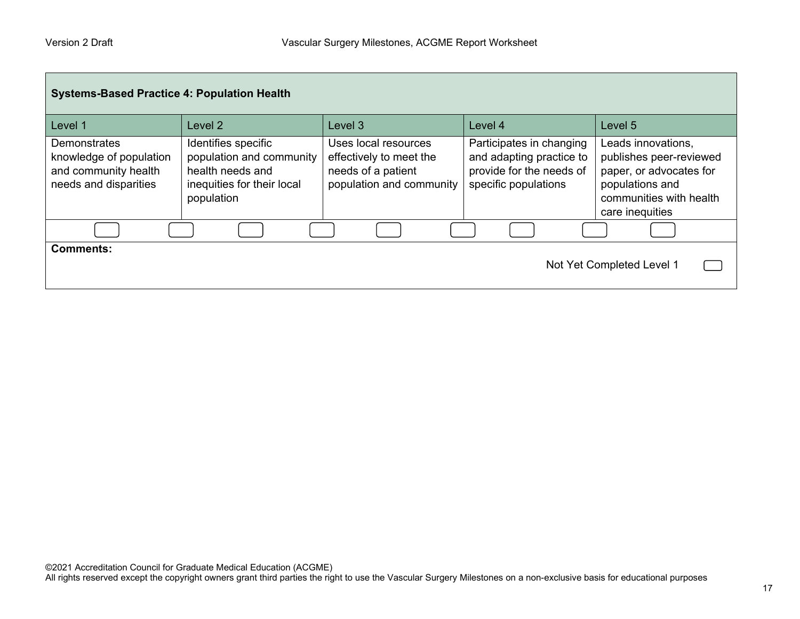| <b>Systems-Based Practice 4: Population Health</b>                                       |                                                                                                                 |                                                                                                   |                                                                                                          |                                                                                                                                           |
|------------------------------------------------------------------------------------------|-----------------------------------------------------------------------------------------------------------------|---------------------------------------------------------------------------------------------------|----------------------------------------------------------------------------------------------------------|-------------------------------------------------------------------------------------------------------------------------------------------|
| Level 1                                                                                  | Level 2                                                                                                         | Level 3                                                                                           | Level 4                                                                                                  | Level 5                                                                                                                                   |
| Demonstrates<br>knowledge of population<br>and community health<br>needs and disparities | Identifies specific<br>population and community<br>health needs and<br>inequities for their local<br>population | Uses local resources<br>effectively to meet the<br>needs of a patient<br>population and community | Participates in changing<br>and adapting practice to<br>provide for the needs of<br>specific populations | Leads innovations,<br>publishes peer-reviewed<br>paper, or advocates for<br>populations and<br>communities with health<br>care inequities |
|                                                                                          |                                                                                                                 |                                                                                                   |                                                                                                          |                                                                                                                                           |
| <b>Comments:</b>                                                                         |                                                                                                                 |                                                                                                   |                                                                                                          | Not Yet Completed Level 1                                                                                                                 |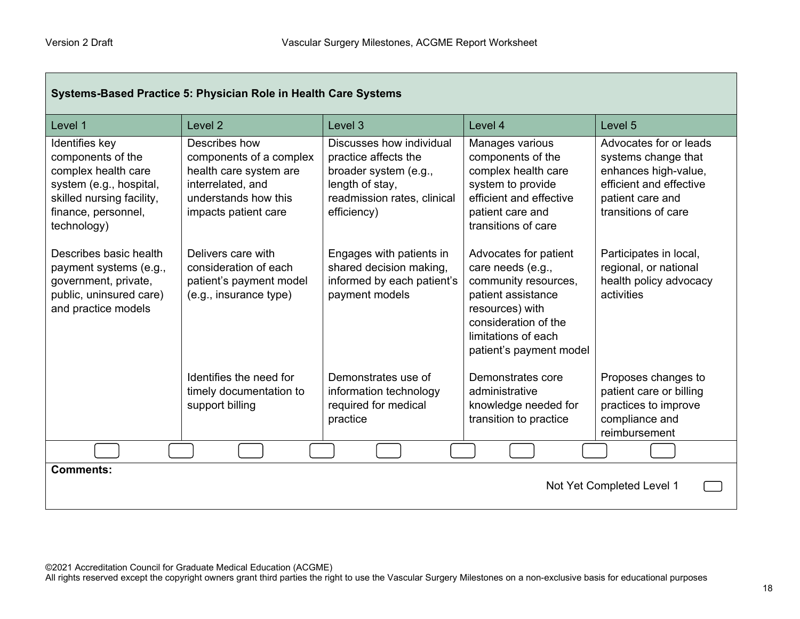г

| Systems-Based Practice 5: Physician Role in Health Care Systems                                                                                          |                                                                                                                                         |                                                                                                                                            |                                                                                                                                                                                       |                                                                                                                                             |
|----------------------------------------------------------------------------------------------------------------------------------------------------------|-----------------------------------------------------------------------------------------------------------------------------------------|--------------------------------------------------------------------------------------------------------------------------------------------|---------------------------------------------------------------------------------------------------------------------------------------------------------------------------------------|---------------------------------------------------------------------------------------------------------------------------------------------|
| Level 1                                                                                                                                                  | Level 2                                                                                                                                 | Level 3                                                                                                                                    | Level 4                                                                                                                                                                               | Level 5                                                                                                                                     |
| Identifies key<br>components of the<br>complex health care<br>system (e.g., hospital,<br>skilled nursing facility,<br>finance, personnel,<br>technology) | Describes how<br>components of a complex<br>health care system are<br>interrelated, and<br>understands how this<br>impacts patient care | Discusses how individual<br>practice affects the<br>broader system (e.g.,<br>length of stay,<br>readmission rates, clinical<br>efficiency) | Manages various<br>components of the<br>complex health care<br>system to provide<br>efficient and effective<br>patient care and<br>transitions of care                                | Advocates for or leads<br>systems change that<br>enhances high-value,<br>efficient and effective<br>patient care and<br>transitions of care |
| Describes basic health<br>payment systems (e.g.,<br>government, private,<br>public, uninsured care)<br>and practice models                               | Delivers care with<br>consideration of each<br>patient's payment model<br>(e.g., insurance type)                                        | Engages with patients in<br>shared decision making,<br>informed by each patient's<br>payment models                                        | Advocates for patient<br>care needs (e.g.,<br>community resources,<br>patient assistance<br>resources) with<br>consideration of the<br>limitations of each<br>patient's payment model | Participates in local,<br>regional, or national<br>health policy advocacy<br>activities                                                     |
|                                                                                                                                                          | Identifies the need for<br>timely documentation to<br>support billing                                                                   | Demonstrates use of<br>information technology<br>required for medical<br>practice                                                          | Demonstrates core<br>administrative<br>knowledge needed for<br>transition to practice                                                                                                 | Proposes changes to<br>patient care or billing<br>practices to improve<br>compliance and<br>reimbursement                                   |
|                                                                                                                                                          |                                                                                                                                         |                                                                                                                                            |                                                                                                                                                                                       |                                                                                                                                             |
| <b>Comments:</b><br>Not Yet Completed Level 1                                                                                                            |                                                                                                                                         |                                                                                                                                            |                                                                                                                                                                                       |                                                                                                                                             |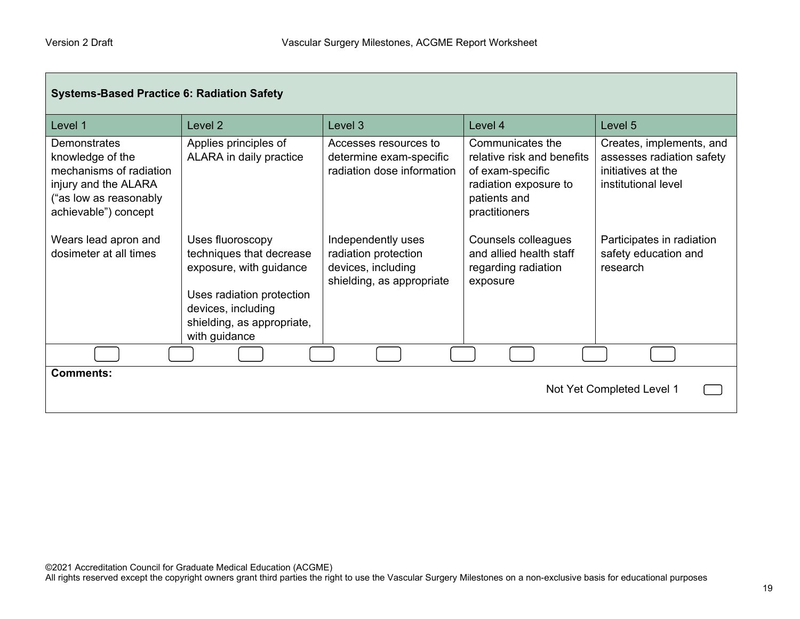| <b>Systems-Based Practice 6: Radiation Safety</b>                                                                                     |                                                                                                                                                                           |                                                                                               |                                                                                                                              |                                                                                                    |
|---------------------------------------------------------------------------------------------------------------------------------------|---------------------------------------------------------------------------------------------------------------------------------------------------------------------------|-----------------------------------------------------------------------------------------------|------------------------------------------------------------------------------------------------------------------------------|----------------------------------------------------------------------------------------------------|
| Level 1                                                                                                                               | Level 2                                                                                                                                                                   | Level 3                                                                                       | Level 4                                                                                                                      | Level 5                                                                                            |
| Demonstrates<br>knowledge of the<br>mechanisms of radiation<br>injury and the ALARA<br>("as low as reasonably<br>achievable") concept | Applies principles of<br>ALARA in daily practice                                                                                                                          | Accesses resources to<br>determine exam-specific<br>radiation dose information                | Communicates the<br>relative risk and benefits<br>of exam-specific<br>radiation exposure to<br>patients and<br>practitioners | Creates, implements, and<br>assesses radiation safety<br>initiatives at the<br>institutional level |
| Wears lead apron and<br>dosimeter at all times                                                                                        | Uses fluoroscopy<br>techniques that decrease<br>exposure, with guidance<br>Uses radiation protection<br>devices, including<br>shielding, as appropriate,<br>with guidance | Independently uses<br>radiation protection<br>devices, including<br>shielding, as appropriate | Counsels colleagues<br>and allied health staff<br>regarding radiation<br>exposure                                            | Participates in radiation<br>safety education and<br>research                                      |
|                                                                                                                                       |                                                                                                                                                                           |                                                                                               |                                                                                                                              |                                                                                                    |
| <b>Comments:</b><br>Not Yet Completed Level 1                                                                                         |                                                                                                                                                                           |                                                                                               |                                                                                                                              |                                                                                                    |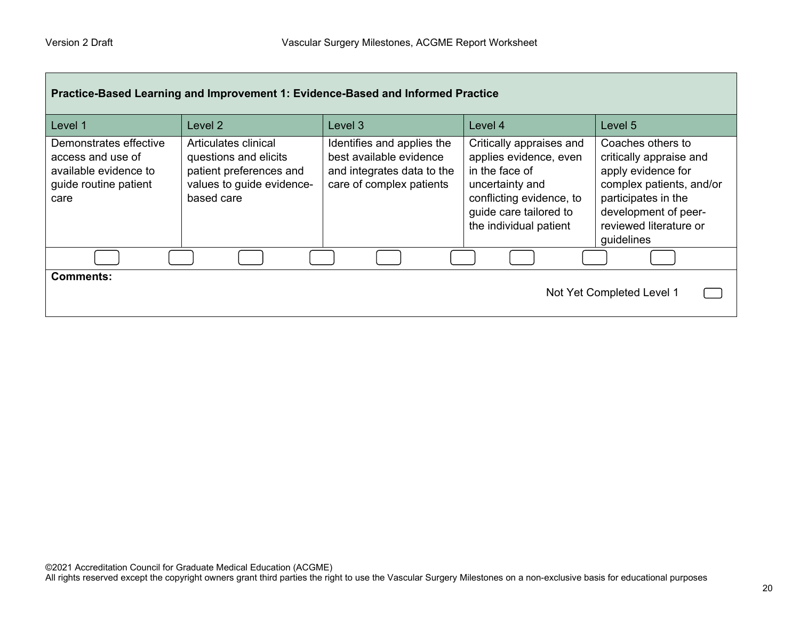| Practice-Based Learning and Improvement 1: Evidence-Based and Informed Practice                       |                                                                                                                     |                                                                                                                 |                                                                                                                                                                         |                                                                                                                                                                                       |
|-------------------------------------------------------------------------------------------------------|---------------------------------------------------------------------------------------------------------------------|-----------------------------------------------------------------------------------------------------------------|-------------------------------------------------------------------------------------------------------------------------------------------------------------------------|---------------------------------------------------------------------------------------------------------------------------------------------------------------------------------------|
| Level 1                                                                                               | Level 2                                                                                                             | Level 3                                                                                                         | Level 4                                                                                                                                                                 | Level 5                                                                                                                                                                               |
| Demonstrates effective<br>access and use of<br>available evidence to<br>guide routine patient<br>care | Articulates clinical<br>questions and elicits<br>patient preferences and<br>values to guide evidence-<br>based care | Identifies and applies the<br>best available evidence<br>and integrates data to the<br>care of complex patients | Critically appraises and<br>applies evidence, even<br>in the face of<br>uncertainty and<br>conflicting evidence, to<br>guide care tailored to<br>the individual patient | Coaches others to<br>critically appraise and<br>apply evidence for<br>complex patients, and/or<br>participates in the<br>development of peer-<br>reviewed literature or<br>guidelines |
|                                                                                                       |                                                                                                                     |                                                                                                                 |                                                                                                                                                                         |                                                                                                                                                                                       |
| <b>Comments:</b><br>Not Yet Completed Level 1                                                         |                                                                                                                     |                                                                                                                 |                                                                                                                                                                         |                                                                                                                                                                                       |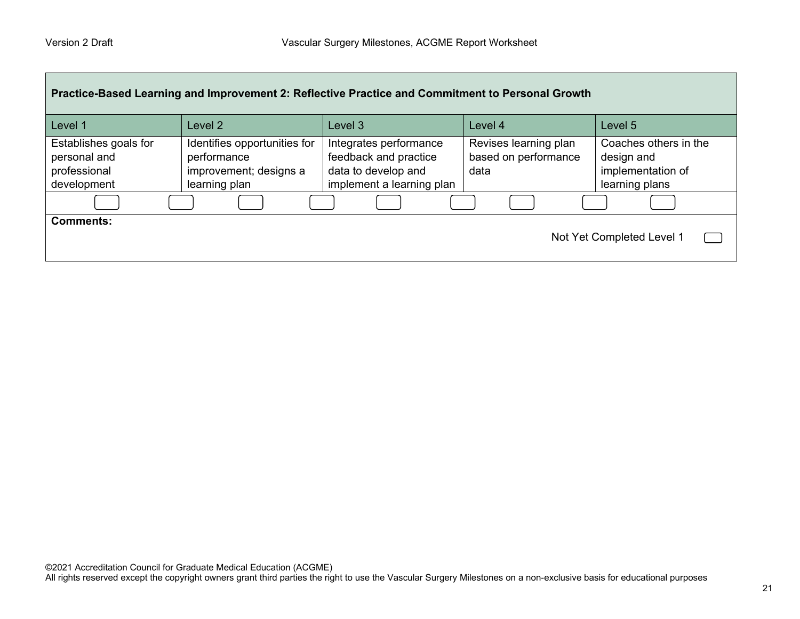| Practice-Based Learning and Improvement 2: Reflective Practice and Commitment to Personal Growth |                                                                                        |                                                                                                     |                                                       |                                                                            |
|--------------------------------------------------------------------------------------------------|----------------------------------------------------------------------------------------|-----------------------------------------------------------------------------------------------------|-------------------------------------------------------|----------------------------------------------------------------------------|
| Level 1                                                                                          | Level 2                                                                                | Level 3                                                                                             | Level 4                                               | Level 5                                                                    |
| Establishes goals for<br>personal and<br>professional<br>development                             | Identifies opportunities for<br>performance<br>improvement; designs a<br>learning plan | Integrates performance<br>feedback and practice<br>data to develop and<br>implement a learning plan | Revises learning plan<br>based on performance<br>data | Coaches others in the<br>design and<br>implementation of<br>learning plans |
|                                                                                                  |                                                                                        |                                                                                                     |                                                       |                                                                            |
| <b>Comments:</b><br>Not Yet Completed Level 1                                                    |                                                                                        |                                                                                                     |                                                       |                                                                            |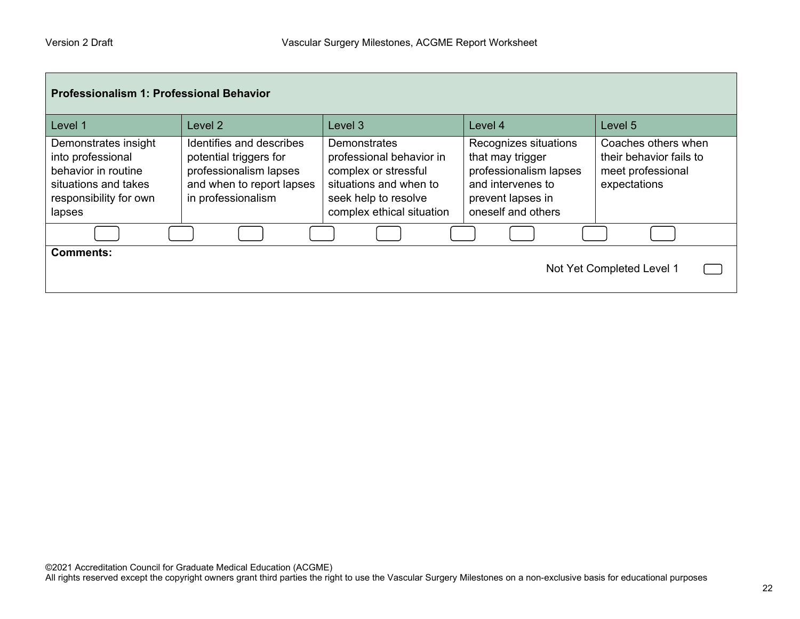| <b>Professionalism 1: Professional Behavior</b>                                                                              |                                                                                                                                 |                                                                                                                                                        |                                                                                                                                     |                                                                                     |
|------------------------------------------------------------------------------------------------------------------------------|---------------------------------------------------------------------------------------------------------------------------------|--------------------------------------------------------------------------------------------------------------------------------------------------------|-------------------------------------------------------------------------------------------------------------------------------------|-------------------------------------------------------------------------------------|
| Level 1                                                                                                                      | Level 2                                                                                                                         | Level 3                                                                                                                                                | Level 4                                                                                                                             | Level 5                                                                             |
| Demonstrates insight<br>into professional<br>behavior in routine<br>situations and takes<br>responsibility for own<br>lapses | Identifies and describes<br>potential triggers for<br>professionalism lapses<br>and when to report lapses<br>in professionalism | <b>Demonstrates</b><br>professional behavior in<br>complex or stressful<br>situations and when to<br>seek help to resolve<br>complex ethical situation | Recognizes situations<br>that may trigger<br>professionalism lapses<br>and intervenes to<br>prevent lapses in<br>oneself and others | Coaches others when<br>their behavior fails to<br>meet professional<br>expectations |
|                                                                                                                              |                                                                                                                                 |                                                                                                                                                        |                                                                                                                                     |                                                                                     |
| <b>Comments:</b>                                                                                                             |                                                                                                                                 |                                                                                                                                                        |                                                                                                                                     | Not Yet Completed Level 1                                                           |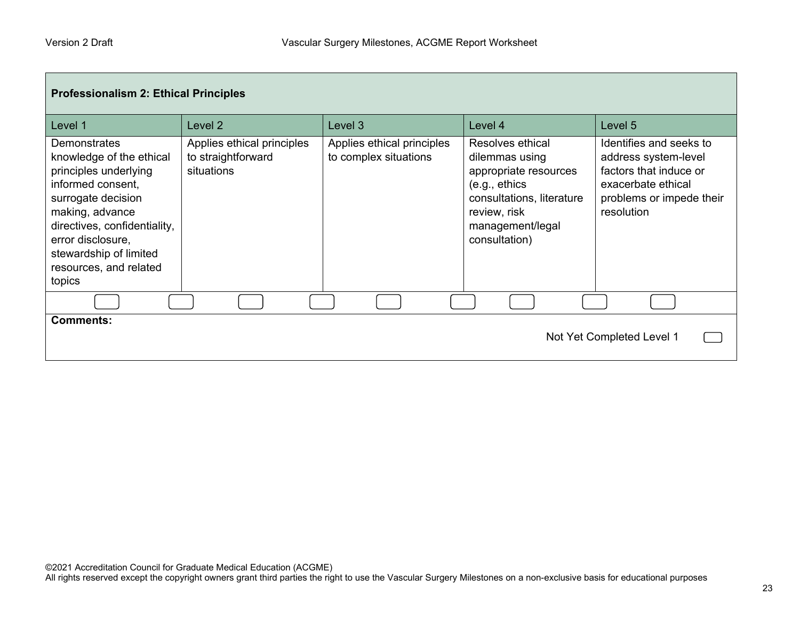г

| <b>Professionalism 2: Ethical Principles</b>                                                                                                                                                                                                              |                                                                |                                                     |                                                                                                                                                                 |                                                                                                                                           |
|-----------------------------------------------------------------------------------------------------------------------------------------------------------------------------------------------------------------------------------------------------------|----------------------------------------------------------------|-----------------------------------------------------|-----------------------------------------------------------------------------------------------------------------------------------------------------------------|-------------------------------------------------------------------------------------------------------------------------------------------|
| Level 1                                                                                                                                                                                                                                                   | Level 2                                                        | Level 3                                             | Level 4                                                                                                                                                         | Level 5                                                                                                                                   |
| <b>Demonstrates</b><br>knowledge of the ethical<br>principles underlying<br>informed consent,<br>surrogate decision<br>making, advance<br>directives, confidentiality,<br>error disclosure,<br>stewardship of limited<br>resources, and related<br>topics | Applies ethical principles<br>to straightforward<br>situations | Applies ethical principles<br>to complex situations | Resolves ethical<br>dilemmas using<br>appropriate resources<br>(e.g., ethics)<br>consultations, literature<br>review, risk<br>management/legal<br>consultation) | Identifies and seeks to<br>address system-level<br>factors that induce or<br>exacerbate ethical<br>problems or impede their<br>resolution |
|                                                                                                                                                                                                                                                           |                                                                |                                                     |                                                                                                                                                                 |                                                                                                                                           |
| <b>Comments:</b><br>Not Yet Completed Level 1                                                                                                                                                                                                             |                                                                |                                                     |                                                                                                                                                                 |                                                                                                                                           |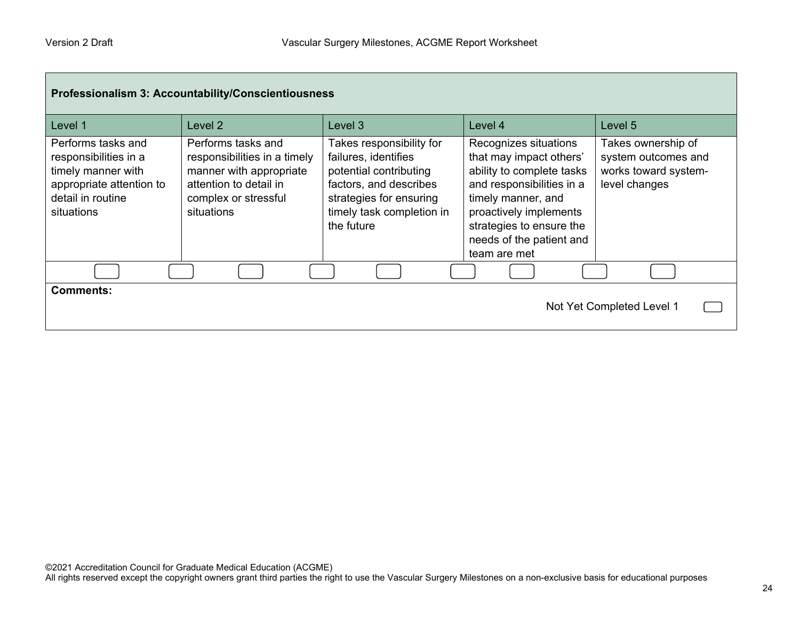| Professionalism 3: Accountability/Conscientiousness                                                                              |                                                                                                                                               |                                                                                                                                                                            |                                                                                                                                                                                                                                    |                                                                                    |
|----------------------------------------------------------------------------------------------------------------------------------|-----------------------------------------------------------------------------------------------------------------------------------------------|----------------------------------------------------------------------------------------------------------------------------------------------------------------------------|------------------------------------------------------------------------------------------------------------------------------------------------------------------------------------------------------------------------------------|------------------------------------------------------------------------------------|
| Level 1                                                                                                                          | Level <sub>2</sub>                                                                                                                            | Level 3                                                                                                                                                                    | Level 4                                                                                                                                                                                                                            | Level 5                                                                            |
| Performs tasks and<br>responsibilities in a<br>timely manner with<br>appropriate attention to<br>detail in routine<br>situations | Performs tasks and<br>responsibilities in a timely<br>manner with appropriate<br>attention to detail in<br>complex or stressful<br>situations | Takes responsibility for<br>failures, identifies<br>potential contributing<br>factors, and describes<br>strategies for ensuring<br>timely task completion in<br>the future | Recognizes situations<br>that may impact others'<br>ability to complete tasks<br>and responsibilities in a<br>timely manner, and<br>proactively implements<br>strategies to ensure the<br>needs of the patient and<br>team are met | Takes ownership of<br>system outcomes and<br>works toward system-<br>level changes |
|                                                                                                                                  |                                                                                                                                               |                                                                                                                                                                            |                                                                                                                                                                                                                                    |                                                                                    |
| <b>Comments:</b><br>Not Yet Completed Level 1                                                                                    |                                                                                                                                               |                                                                                                                                                                            |                                                                                                                                                                                                                                    |                                                                                    |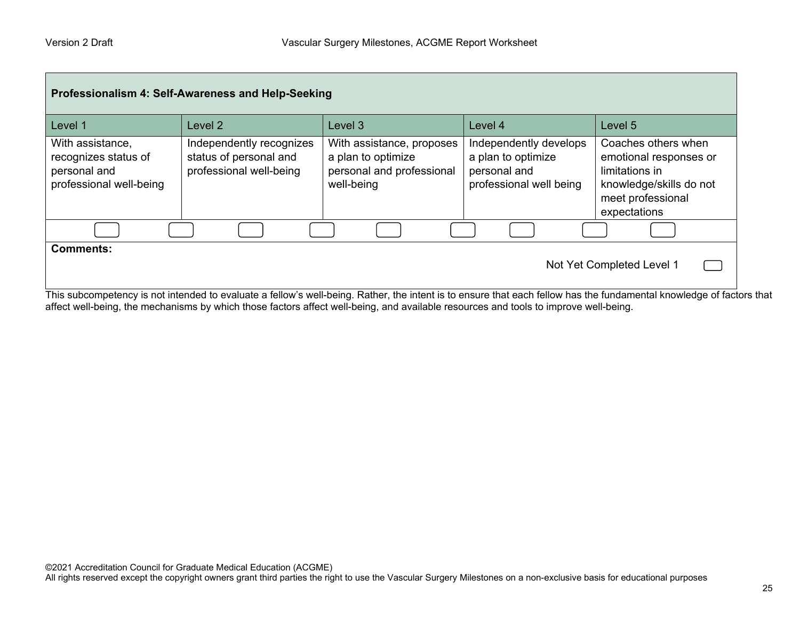| Professionalism 4: Self-Awareness and Help-Seeking                                                                                                                                                              |                                                                               |                                                                                            |                                                                                         |                                                                                                                                 |
|-----------------------------------------------------------------------------------------------------------------------------------------------------------------------------------------------------------------|-------------------------------------------------------------------------------|--------------------------------------------------------------------------------------------|-----------------------------------------------------------------------------------------|---------------------------------------------------------------------------------------------------------------------------------|
| Level 1                                                                                                                                                                                                         | Level 2                                                                       | Level 3                                                                                    | Level 4                                                                                 | Level 5                                                                                                                         |
| With assistance,<br>recognizes status of<br>personal and<br>professional well-being                                                                                                                             | Independently recognizes<br>status of personal and<br>professional well-being | With assistance, proposes<br>a plan to optimize<br>personal and professional<br>well-being | Independently develops<br>a plan to optimize<br>personal and<br>professional well being | Coaches others when<br>emotional responses or<br>limitations in<br>knowledge/skills do not<br>meet professional<br>expectations |
|                                                                                                                                                                                                                 |                                                                               |                                                                                            |                                                                                         |                                                                                                                                 |
| <b>Comments:</b><br>Not Yet Completed Level 1<br>This subcompetency is not intended to evaluate a fellow's well-being. Rather, the intent is to ensure that each fellow has the fundamental knowledge of factor |                                                                               |                                                                                            |                                                                                         |                                                                                                                                 |

This subcompetency is not intended to evaluate a fellow's well-being. Rather, the intent is to ensure that each fellow has the fundamental knowledge of factors that affect well-being, the mechanisms by which those factors affect well-being, and available resources and tools to improve well-being.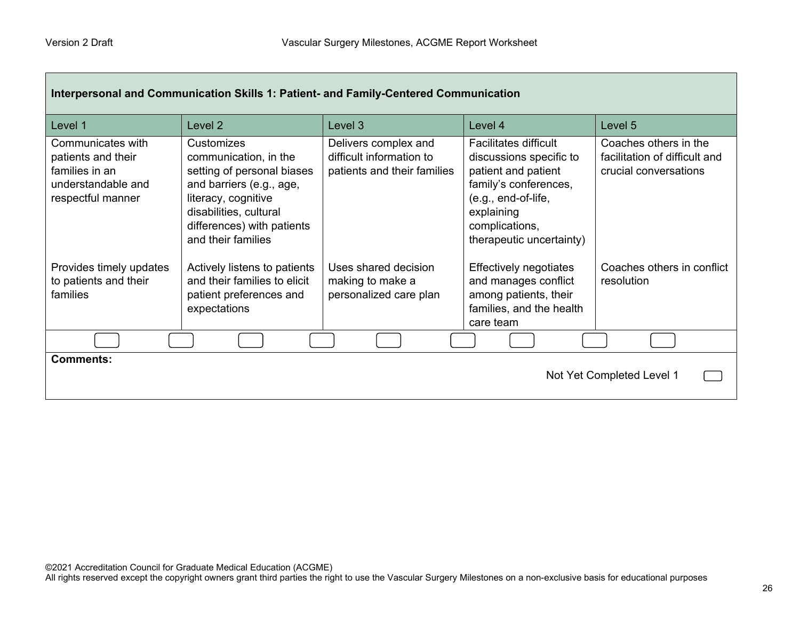| Interpersonal and Communication Skills 1: Patient- and Family-Centered Communication                 |                                                                                                                                                                                                    |                                                                                 |                                                                                                                                                                                            |                                                                                 |
|------------------------------------------------------------------------------------------------------|----------------------------------------------------------------------------------------------------------------------------------------------------------------------------------------------------|---------------------------------------------------------------------------------|--------------------------------------------------------------------------------------------------------------------------------------------------------------------------------------------|---------------------------------------------------------------------------------|
| Level 1                                                                                              | Level 2                                                                                                                                                                                            | Level 3                                                                         | Level 4                                                                                                                                                                                    | Level 5                                                                         |
| Communicates with<br>patients and their<br>families in an<br>understandable and<br>respectful manner | Customizes<br>communication, in the<br>setting of personal biases<br>and barriers (e.g., age,<br>literacy, cognitive<br>disabilities, cultural<br>differences) with patients<br>and their families | Delivers complex and<br>difficult information to<br>patients and their families | <b>Facilitates difficult</b><br>discussions specific to<br>patient and patient<br>family's conferences,<br>(e.g., end-of-life,<br>explaining<br>complications,<br>therapeutic uncertainty) | Coaches others in the<br>facilitation of difficult and<br>crucial conversations |
| Provides timely updates<br>to patients and their<br>families                                         | Actively listens to patients<br>and their families to elicit<br>patient preferences and<br>expectations                                                                                            | Uses shared decision<br>making to make a<br>personalized care plan              | <b>Effectively negotiates</b><br>and manages conflict<br>among patients, their<br>families, and the health<br>care team                                                                    | Coaches others in conflict<br>resolution                                        |
|                                                                                                      |                                                                                                                                                                                                    |                                                                                 |                                                                                                                                                                                            |                                                                                 |
| <b>Comments:</b><br>Not Yet Completed Level 1                                                        |                                                                                                                                                                                                    |                                                                                 |                                                                                                                                                                                            |                                                                                 |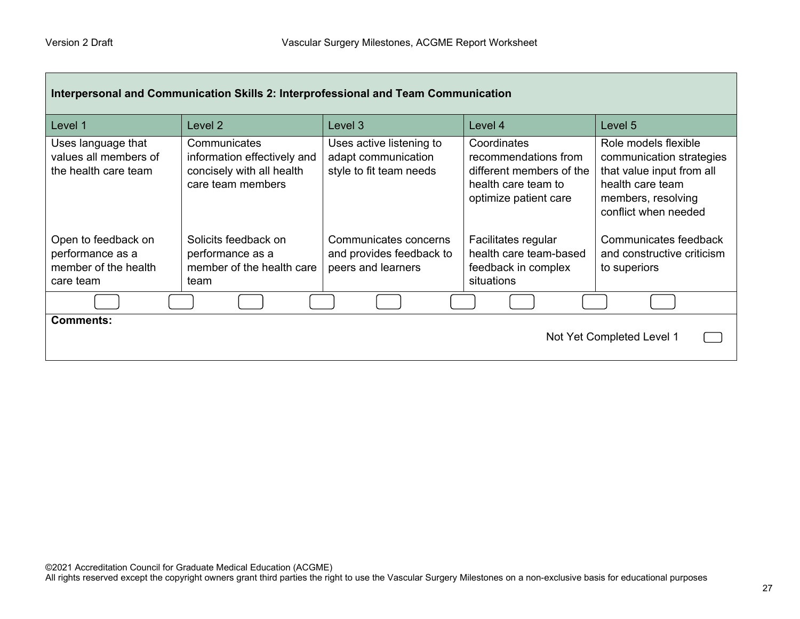| Interpersonal and Communication Skills 2: Interprofessional and Team Communication |                                                                                               |                                                                            |                                                                                                                 |                                                                                                                                                 |
|------------------------------------------------------------------------------------|-----------------------------------------------------------------------------------------------|----------------------------------------------------------------------------|-----------------------------------------------------------------------------------------------------------------|-------------------------------------------------------------------------------------------------------------------------------------------------|
| Level 1                                                                            | Level 2                                                                                       | Level 3                                                                    | Level 4                                                                                                         | Level 5                                                                                                                                         |
| Uses language that<br>values all members of<br>the health care team                | Communicates<br>information effectively and<br>concisely with all health<br>care team members | Uses active listening to<br>adapt communication<br>style to fit team needs | Coordinates<br>recommendations from<br>different members of the<br>health care team to<br>optimize patient care | Role models flexible<br>communication strategies<br>that value input from all<br>health care team<br>members, resolving<br>conflict when needed |
| Open to feedback on<br>performance as a<br>member of the health<br>care team       | Solicits feedback on<br>performance as a<br>member of the health care<br>team                 | Communicates concerns<br>and provides feedback to<br>peers and learners    | Facilitates regular<br>health care team-based<br>feedback in complex<br>situations                              | Communicates feedback<br>and constructive criticism<br>to superiors                                                                             |
|                                                                                    |                                                                                               |                                                                            |                                                                                                                 |                                                                                                                                                 |
| <b>Comments:</b><br>Not Yet Completed Level 1                                      |                                                                                               |                                                                            |                                                                                                                 |                                                                                                                                                 |